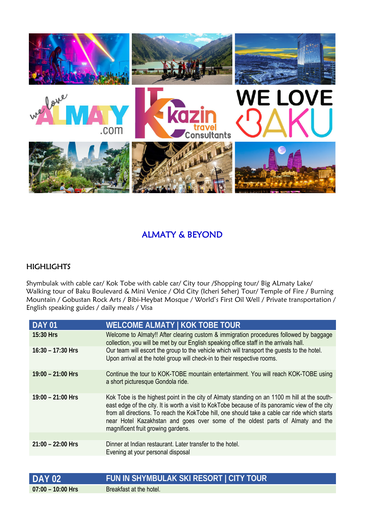

## ALMATY & BEYOND

## **HIGHLIGHTS**

Shymbulak with cable car/ Kok Tobe with cable car/ City tour /Shopping tour/ Big ALmaty Lake/ Walking tour of Baku Boulevard & Mini Venice / Old City (Icheri Seher) Tour/ Temple of Fire / Burning Mountain / Gobustan Rock Arts / Bibi-Heybat Mosque / World's First Oil Well / Private transportation / English speaking guides / daily meals / Visa

| <b>DAY 01</b>       | <b>WELCOME ALMATY   KOK TOBE TOUR</b>                                                                                                                                                                                                                                                                                                                                                                                    |
|---------------------|--------------------------------------------------------------------------------------------------------------------------------------------------------------------------------------------------------------------------------------------------------------------------------------------------------------------------------------------------------------------------------------------------------------------------|
| 15:30 Hrs           | Welcome to Almaty!! After clearing custom & immigration procedures followed by baggage<br>collection, you will be met by our English speaking office staff in the arrivals hall.                                                                                                                                                                                                                                         |
| $16:30 - 17:30$ Hrs | Our team will escort the group to the vehicle which will transport the guests to the hotel.<br>Upon arrival at the hotel group will check-in to their respective rooms.                                                                                                                                                                                                                                                  |
| $19:00 - 21:00$ Hrs | Continue the tour to KOK-TOBE mountain entertainment. You will reach KOK-TOBE using<br>a short picturesque Gondola ride.                                                                                                                                                                                                                                                                                                 |
| $19:00 - 21:00$ Hrs | Kok Tobe is the highest point in the city of Almaty standing on an 1100 m hill at the south-<br>east edge of the city. It is worth a visit to KokTobe because of its panoramic view of the city<br>from all directions. To reach the KokTobe hill, one should take a cable car ride which starts<br>near Hotel Kazakhstan and goes over some of the oldest parts of Almaty and the<br>magnificent fruit growing gardens. |
|                     |                                                                                                                                                                                                                                                                                                                                                                                                                          |
| $21:00 - 22:00$ Hrs | Dinner at Indian restaurant. Later transfer to the hotel.<br>Evening at your personal disposal                                                                                                                                                                                                                                                                                                                           |
|                     |                                                                                                                                                                                                                                                                                                                                                                                                                          |

| <b>DAY 02</b>       | FUN IN SHYMBULAK SKI RESORT   CITY TOUR |
|---------------------|-----------------------------------------|
| $07:00 - 10:00$ Hrs | Breakfast at the hotel.                 |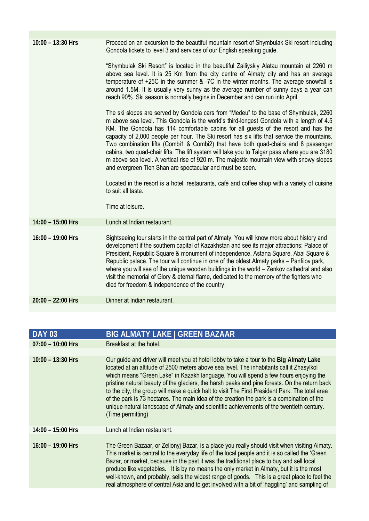| $10:00 - 13:30$ Hrs | Proceed on an excursion to the beautiful mountain resort of Shymbulak Ski resort including<br>Gondola tickets to level 3 and services of our English speaking guide.                                                                                                                                                                                                                                                                                                                                                                                                                                                                                                                                                                                                                                                                                                 |
|---------------------|----------------------------------------------------------------------------------------------------------------------------------------------------------------------------------------------------------------------------------------------------------------------------------------------------------------------------------------------------------------------------------------------------------------------------------------------------------------------------------------------------------------------------------------------------------------------------------------------------------------------------------------------------------------------------------------------------------------------------------------------------------------------------------------------------------------------------------------------------------------------|
|                     | "Shymbulak Ski Resort" is located in the beautiful Zailiyskiy Alatau mountain at 2260 m<br>above sea level. It is 25 Km from the city centre of Almaty city and has an average<br>temperature of +25C in the summer & -7C in the winter months. The average snowfall is<br>around 1.5M. It is usually very sunny as the average number of sunny days a year can<br>reach 90%. Ski season is normally begins in December and can run into April.                                                                                                                                                                                                                                                                                                                                                                                                                      |
|                     | The ski slopes are served by Gondola cars from "Medeu" to the base of Shymbulak, 2260<br>m above sea level. This Gondola is the world's third-longest Gondola with a length of 4.5<br>KM. The Gondola has 114 comfortable cabins for all guests of the resort and has the<br>capacity of 2,000 people per hour. The Ski resort has six lifts that service the mountains.<br>Two combination lifts (Combi1 & Combi2) that have both quad-chairs and 8 passenger<br>cabins, two quad-chair lifts. The lift system will take you to Talgar pass where you are 3180<br>m above sea level. A vertical rise of 920 m. The majestic mountain view with snowy slopes<br>and evergreen Tien Shan are spectacular and must be seen.<br>Located in the resort is a hotel, restaurants, café and coffee shop with a variety of cuisine<br>to suit all taste.<br>Time at leisure. |
| $14:00 - 15:00$ Hrs | Lunch at Indian restaurant.                                                                                                                                                                                                                                                                                                                                                                                                                                                                                                                                                                                                                                                                                                                                                                                                                                          |
| $16:00 - 19:00$ Hrs | Sightseeing tour starts in the central part of Almaty. You will know more about history and<br>development if the southern capital of Kazakhstan and see its major attractions: Palace of<br>President, Republic Square & monument of independence, Astana Square, Abai Square &<br>Republic palace. The tour will continue in one of the oldest Almaty parks - Panfilov park,<br>where you will see of the unique wooden buildings in the world – Zenkov cathedral and also<br>visit the memorial of Glory & eternal flame, dedicated to the memory of the fighters who<br>died for freedom & independence of the country.                                                                                                                                                                                                                                          |
| $20:00 - 22:00$ Hrs | Dinner at Indian restaurant.                                                                                                                                                                                                                                                                                                                                                                                                                                                                                                                                                                                                                                                                                                                                                                                                                                         |

| <b>DAY 03</b>       | <b>BIG ALMATY LAKE   GREEN BAZAAR</b>                                                                                                                                                                                                                                                                                                                                                                                                                                                                                                                                                                                                                                                          |
|---------------------|------------------------------------------------------------------------------------------------------------------------------------------------------------------------------------------------------------------------------------------------------------------------------------------------------------------------------------------------------------------------------------------------------------------------------------------------------------------------------------------------------------------------------------------------------------------------------------------------------------------------------------------------------------------------------------------------|
| $07:00 - 10:00$ Hrs | Breakfast at the hotel.                                                                                                                                                                                                                                                                                                                                                                                                                                                                                                                                                                                                                                                                        |
|                     |                                                                                                                                                                                                                                                                                                                                                                                                                                                                                                                                                                                                                                                                                                |
| $10:00 - 13:30$ Hrs | Our guide and driver will meet you at hotel lobby to take a tour to the Big Almaty Lake<br>located at an altitude of 2500 meters above sea level. The inhabitants call it Zhasylkol<br>which means "Green Lake" in Kazakh language. You will spend a few hours enjoying the<br>pristine natural beauty of the glaciers, the harsh peaks and pine forests. On the return back<br>to the city, the group will make a quick halt to visit The First President Park. The total area<br>of the park is 73 hectares. The main idea of the creation the park is a combination of the<br>unique natural landscape of Almaty and scientific achievements of the twentieth century.<br>(Time permitting) |
| $14:00 - 15:00$ Hrs | Lunch at Indian restaurant.                                                                                                                                                                                                                                                                                                                                                                                                                                                                                                                                                                                                                                                                    |
| $16:00 - 19:00$ Hrs | The Green Bazaar, or Zelionyj Bazar, is a place you really should visit when visiting Almaty.<br>This market is central to the everyday life of the local people and it is so called the 'Green'<br>Bazar, or market, because in the past it was the traditional place to buy and sell local<br>produce like vegetables. It is by no means the only market in Almaty, but it is the most<br>well-known, and probably, sells the widest range of goods. This is a great place to feel the<br>real atmosphere of central Asia and to get involved with a bit of 'haggling' and sampling of                                                                                                       |
|                     |                                                                                                                                                                                                                                                                                                                                                                                                                                                                                                                                                                                                                                                                                                |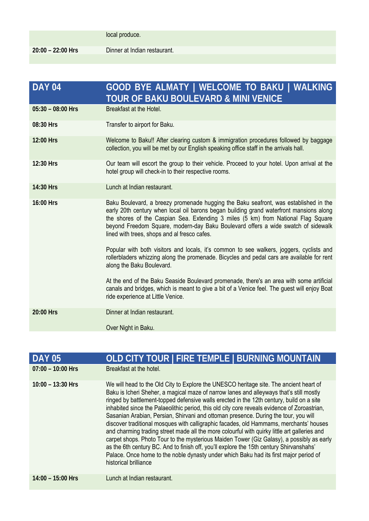| <b>DAY 04</b>       | GOOD BYE ALMATY   WELCOME TO BAKU   WALKING<br>TOUR OF BAKU BOULEVARD & MINI VENICE                                                                                                                                                                                                                                                                                                                       |
|---------------------|-----------------------------------------------------------------------------------------------------------------------------------------------------------------------------------------------------------------------------------------------------------------------------------------------------------------------------------------------------------------------------------------------------------|
| $05:30 - 08:00$ Hrs | Breakfast at the Hotel.                                                                                                                                                                                                                                                                                                                                                                                   |
| 08:30 Hrs           | Transfer to airport for Baku.                                                                                                                                                                                                                                                                                                                                                                             |
| 12:00 Hrs           | Welcome to Baku!! After clearing custom & immigration procedures followed by baggage<br>collection, you will be met by our English speaking office staff in the arrivals hall.                                                                                                                                                                                                                            |
| 12:30 Hrs           | Our team will escort the group to their vehicle. Proceed to your hotel. Upon arrival at the<br>hotel group will check-in to their respective rooms.                                                                                                                                                                                                                                                       |
| 14:30 Hrs           | Lunch at Indian restaurant.                                                                                                                                                                                                                                                                                                                                                                               |
| 16:00 Hrs           | Baku Boulevard, a breezy promenade hugging the Baku seafront, was established in the<br>early 20th century when local oil barons began building grand waterfront mansions along<br>the shores of the Caspian Sea. Extending 3 miles (5 km) from National Flag Square<br>beyond Freedom Square, modern-day Baku Boulevard offers a wide swatch of sidewalk<br>lined with trees, shops and al fresco cafes. |
|                     | Popular with both visitors and locals, it's common to see walkers, joggers, cyclists and<br>rollerbladers whizzing along the promenade. Bicycles and pedal cars are available for rent<br>along the Baku Boulevard.                                                                                                                                                                                       |
|                     | At the end of the Baku Seaside Boulevard promenade, there's an area with some artificial<br>canals and bridges, which is meant to give a bit of a Venice feel. The guest will enjoy Boat<br>ride experience at Little Venice.                                                                                                                                                                             |
| 20:00 Hrs           | Dinner at Indian restaurant.                                                                                                                                                                                                                                                                                                                                                                              |
|                     | Over Night in Baku.                                                                                                                                                                                                                                                                                                                                                                                       |

| <b>DAY 05</b>       | OLD CITY TOUR   FIRE TEMPLE   BURNING MOUNTAIN                                                                                                                                                                                                                                                                                                                                                                                                                                                                                                                                                                                                                                                                                                                                                                                                                                                                                                                           |
|---------------------|--------------------------------------------------------------------------------------------------------------------------------------------------------------------------------------------------------------------------------------------------------------------------------------------------------------------------------------------------------------------------------------------------------------------------------------------------------------------------------------------------------------------------------------------------------------------------------------------------------------------------------------------------------------------------------------------------------------------------------------------------------------------------------------------------------------------------------------------------------------------------------------------------------------------------------------------------------------------------|
| $07:00 - 10:00$ Hrs | Breakfast at the hotel.                                                                                                                                                                                                                                                                                                                                                                                                                                                                                                                                                                                                                                                                                                                                                                                                                                                                                                                                                  |
| $10:00 - 13:30$ Hrs | We will head to the Old City to Explore the UNESCO heritage site. The ancient heart of<br>Baku is Icheri Sheher, a magical maze of narrow lanes and alleyways that's still mostly<br>ringed by battlement-topped defensive walls erected in the 12th century, build on a site<br>inhabited since the Palaeolithic period, this old city core reveals evidence of Zoroastrian,<br>Sasanian Arabian, Persian, Shirvani and ottoman presence. During the tour, you will<br>discover traditional mosques with calligraphic facades, old Hammams, merchants' houses<br>and charming trading street made all the more colourful with quirky little art galleries and<br>carpet shops. Photo Tour to the mysterious Maiden Tower (Giz Galasy), a possibly as early<br>as the 6th century BC. And to finish off, you'll explore the 15th century Shirvanshahs'<br>Palace. Once home to the noble dynasty under which Baku had its first major period of<br>historical brilliance |
| $14:00 - 15:00$ Hrs | Lunch at Indian restaurant.                                                                                                                                                                                                                                                                                                                                                                                                                                                                                                                                                                                                                                                                                                                                                                                                                                                                                                                                              |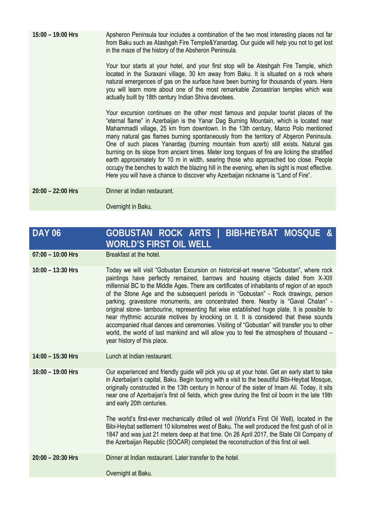**15:00 – 19:00 Hrs** Apsheron Peninsula tour includes a combination of the two most interesting places not far from Baku such as Atashgah Fire Temple&Yanardag. Our guide will help you not to get lost in the maze of the history of the Absheron Peninsula.

> Your tour starts at your hotel, and your first stop will be Ateshgah Fire Temple, which located in the Suraxani village, 30 km away from Baku. It is situated on a rock where natural emergences of gas on the surface have been burning for thousands of years. Here you will learn more about one of the most remarkable Zoroastrian temples which was actually built by 18th century Indian Shiva devotees.

> Your excursion continues on the other most famous and popular tourist places of the "eternal flame" in Azerbaijan is the Yanar Dag Burning Mountain, which is located near Mahammadli village, 25 km from downtown. In the 13th century, Marco Polo mentioned many natural gas flames burning spontaneously from the territory of Abşeron Peninsula. One of such places Yanardag (burning mountain from azerb) still exists. Natural gas burning on its slope from ancient times. Meter long tongues of fire are licking the stratified earth approximately for 10 m in width, searing those who approached too close. People occupy the benches to watch the blazing hill in the evening, when its sight is most effective. Here you will have a chance to discover why Azerbaijan nickname is "Land of Fire".

**20:00 – 22:00 Hrs** Dinner at Indian restaurant.

Overnight in Baku.

## **DAY 06 GOBUSTAN ROCK ARTS | BIBI-HEYBAT MOSQUE & WORLD'S FIRST OIL WELL**

07:00 – 10:00 Hrs **Breakfast at the hotel.** 

**10:00 – 13:30 Hrs** Today we will visit "Gobustan Excursion on historical-art reserve "Gobustan", where rock paintings have perfectly remained, barrows and housing objects dated from X-XIII millennial BC to the Middle Ages. There are certificates of inhabitants of region of an epoch of the Stone Age and the subsequent periods in "Gobustan" - Rock drawings, person parking, gravestone monuments, are concentrated there. Nearby is "Gaval Chalan" original stone- tambourine, representing flat wise established huge plate. It is possible to hear rhythmic accurate motives by knocking on it. It is considered that these sounds accompanied ritual dances and ceremonies. Visiting of "Gobustan" will transfer you to other world, the world of last mankind and will allow you to feel the atmosphere of thousand – year history of this place.

**14:00 – 15:30 Hrs** Lunch at Indian restaurant.

**16:00 – 19:00 Hrs** Our experienced and friendly guide will pick you up at your hotel. Get an early start to take in Azerbaijan's capital, Baku. Begin touring with a visit to the beautiful Bibi-Heybat Mosque, originally constructed in the 13th century in honour of the sister of Imam Ali. Today, it sits near one of Azerbaijan's first oil fields, which grew during the first oil boom in the late 19th and early 20th centuries.

> The world's first-ever mechanically drilled oil well (World's First Oil Well), located in the Bibi-Heybat settlement 10 kilometres west of Baku. The well produced the first gush of oil in 1847 and was just 21 meters deep at that time. On 26 April 2017, the State Oil Company of the Azerbaijan Republic (SOCAR) completed the reconstruction of this first oil well.

**20:00 – 20:30 Hrs** Dinner at Indian restaurant. Later transfer to the hotel.

Overnight at Baku.